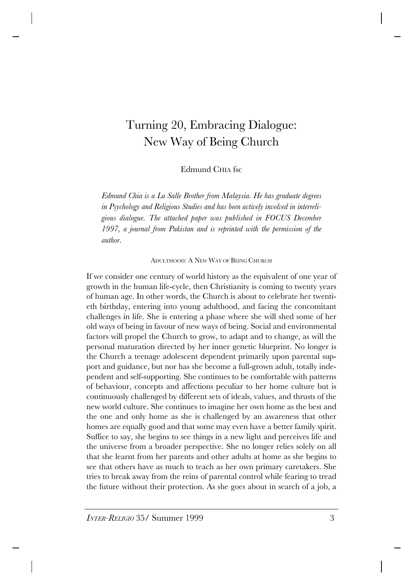# Turning 20, Embracing Dialogue: New Way of Being Church

## Edmund CHIA fsc

*Edmund Chia is a La Salle Brother from Malaysia. He has graduate degrees in Psychology and Religious Studies and has been actively involved in interreligious dialogue. The attached paper was published in FOCUS December 1997, a journal from Pakistan and is reprinted with the permission of the author.*

ADULTHOOD: A NEW WAY OF BEING CHURCH

If we consider one century of world history as the equivalent of one year of growth in the human life-cycle, then Christianity is coming to twenty years of human age. In other words, the Church is about to celebrate her twentieth birthday, entering into young adulthood, and facing the concomitant challenges in life. She is entering a phase where she will shed some of her old ways of being in favour of new ways of being. Social and environmental factors will propel the Church to grow, to adapt and to change, as will the personal maturation directed by her inner genetic blueprint. No longer is the Church a teenage adolescent dependent primarily upon parental support and guidance, but nor has she become a full-grown adult, totally independent and self-supporting. She continues to be comfortable with patterns of behaviour, concepts and affections peculiar to her home culture but is continuously challenged by different sets of ideals, values, and thrusts of the new world culture. She continues to imagine her own home as the best and the one and only home as she is challenged by an awareness that other homes are equally good and that some may even have a better family spirit. Suffice to say, she begins to see things in a new light and perceives life and the universe from a broader perspective. She no longer relies solely on all that she learnt from her parents and other adults at home as she begins to see that others have as much to teach as her own primary caretakers. She tries to break away from the reins of parental control while fearing to tread the future without their protection. As she goes about in search of a job, a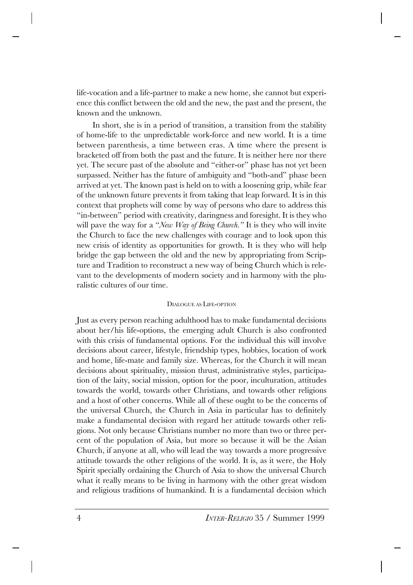life-vocation and a life-partner to make a new home, she cannot but experience this conflict between the old and the new, the past and the present, the known and the unknown.

In short, she is in a period of transition, a transition from the stability of home-life to the unpredictable work-force and new world. It is a time between parenthesis, a time between eras. A time where the present is bracketed off from both the past and the future. It is neither here nor there yet. The secure past of the absolute and "either-or" phase has not yet been surpassed. Neither has the future of ambiguity and "both-and" phase been arrived at yet. The known past is held on to with a loosening grip, while fear of the unknown future prevents it from taking that leap forward. It is in this context that prophets will come by way of persons who dare to address this "in-between" period with creativity, daringness and foresight. It is they who will pave the way for a "*New Way of Being Church."* It is they who will invite the Church to face the new challenges with courage and to look upon this new crisis of identity as opportunities for growth. It is they who will help bridge the gap between the old and the new by appropriating from Scripture and Tradition to reconstruct a new way of being Church which is relevant to the developments of modern society and in harmony with the pluralistic cultures of our time.

### DIALOGUE AS LIFE-OPTION

Just as every person reaching adulthood has to make fundamental decisions about her/his life-options, the emerging adult Church is also confronted with this crisis of fundamental options. For the individual this will involve decisions about career, lifestyle, friendship types, hobbies, location of work and home, life-mate and family size. Whereas, for the Church it will mean decisions about spirituality, mission thrust, administrative styles, participation of the laity, social mission, option for the poor, inculturation, attitudes towards the world, towards other Christians, and towards other religions and a host of other concerns. While all of these ought to be the concerns of the universal Church, the Church in Asia in particular has to definitely make a fundamental decision with regard her attitude towards other religions. Not only because Christians number no more than two or three percent of the population of Asia, but more so because it will be the Asian Church, if anyone at all, who will lead the way towards a more progressive attitude towards the other religions of the world. It is, as it were, the Holy Spirit specially ordaining the Church of Asia to show the universal Church what it really means to be living in harmony with the other great wisdom and religious traditions of humankind. It is a fundamental decision which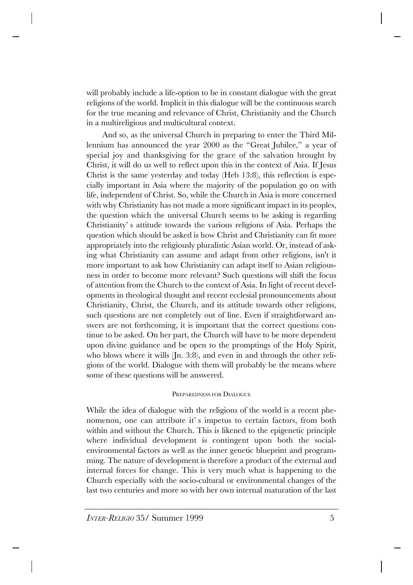will probably include a life-option to be in constant dialogue with the great religions of the world. Implicit in this dialogue will be the continuous search for the true meaning and relevance of Christ, Christianity and the Church in a multireligious and multicultural context.

And so, as the universal Church in preparing to enter the Third Millennium has announced the year 2000 as the "Great Jubilee," a year of special joy and thanksgiving for the grace of the salvation brought by Christ, it will do us well to reflect upon this in the context of Asia. If Jesus Christ is the same yesterday and today (Heb 13:8), this reflection is especially important in Asia where the majority of the population go on with life, independent of Christ. So, while the Church in Asia is more concerned with why Christianity has not made a more significant impact in its peoples, the question which the universal Church seems to be asking is regarding Christianity's attitude towards the various religions of Asia. Perhaps the question which should be asked is how Christ and Christianity can fit more appropriately into the religiously pluralistic Asian world. Or, instead of asking what Christianity can assume and adapt from other religions, isn't it more important to ask how Christianity can adapt itself to Asian religiousness in order to become more relevant? Such questions will shift the focus of attention from the Church to the context of Asia. In light of recent developments in theological thought and recent ecclesial pronouncements about Christianity, Christ, the Church, and its attitude towards other religions, such questions are not completely out of line. Even if straightforward answers are not forthcoming, it is important that the correct questions continue to be asked. On her part, the Church will have to be more dependent upon divine guidance and be open to the promptings of the Holy Spirit, who blows where it wills (Jn. 3:8), and even in and through the other religions of the world. Dialogue with them will probably be the means where some of these questions will be answered.

### PREPAREDNESS FOR DIALOGUE

While the idea of dialogue with the religions of the world is a recent phenomenon, one can attribute it's impetus to certain factors, from both within and without the Church. This is likened to the epigenetic principle where individual development is contingent upon both the socialenvironmental factors as well as the inner genetic blueprint and programming. The nature of development is therefore a product of the external and internal forces for change. This is very much what is happening to the Church especially with the socio-cultural or environmental changes of the last two centuries and more so with her own internal maturation of the last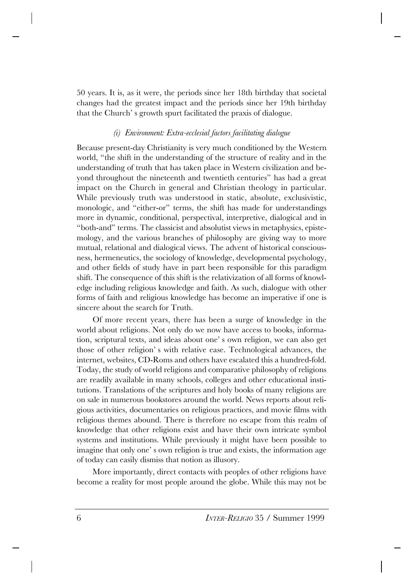50 years. It is, as it were, the periods since her 18th birthday that societal changes had the greatest impact and the periods since her 19th birthday that the Church's growth spurt facilitated the praxis of dialogue.

## *(i) Environment: Extra-ecclesial factors facilitating dialogue*

Because present-day Christianity is very much conditioned by the Western world, "the shift in the understanding of the structure of reality and in the understanding of truth that has taken place in Western civilization and beyond throughout the nineteenth and twentieth centuries" has had a great impact on the Church in general and Christian theology in particular. While previously truth was understood in static, absolute, exclusivistic, monologic, and "either-or" terms, the shift has made for understandings more in dynamic, conditional, perspectival, interpretive, dialogical and in "both-and" terms. The classicist and absolutist views in metaphysics, epistemology, and the various branches of philosophy are giving way to more mutual, relational and dialogical views. The advent of historical consciousness, hermeneutics, the sociology of knowledge, developmental psychology, and other fields of study have in part been responsible for this paradigm shift. The consequence of this shift is the relativization of all forms of knowledge including religious knowledge and faith. As such, dialogue with other forms of faith and religious knowledge has become an imperative if one is sincere about the search for Truth.

Of more recent years, there has been a surge of knowledge in the world about religions. Not only do we now have access to books, information, scriptural texts, and ideas about one's own religion, we can also get those of other religion's with relative ease. Technological advances, the internet, websites, CD-Roms and others have escalated this a hundred-fold. Today, the study of world religions and comparative philosophy of religions are readily available in many schools, colleges and other educational institutions. Translations of the scriptures and holy books of many religions are on sale in numerous bookstores around the world. News reports about religious activities, documentaries on religious practices, and movie films with religious themes abound. There is therefore no escape from this realm of knowledge that other religions exist and have their own intricate symbol systems and institutions. While previously it might have been possible to imagine that only one's own religion is true and exists, the information age of today can easily dismiss that notion as illusory.

More importantly, direct contacts with peoples of other religions have become a reality for most people around the globe. While this may not be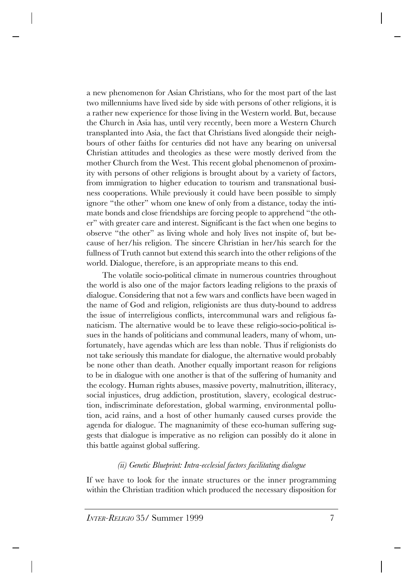a new phenomenon for Asian Christians, who for the most part of the last two millenniums have lived side by side with persons of other religions, it is a rather new experience for those living in the Western world. But, because the Church in Asia has, until very recently, been more a Western Church transplanted into Asia, the fact that Christians lived alongside their neighbours of other faiths for centuries did not have any bearing on universal Christian attitudes and theologies as these were mostly derived from the mother Church from the West. This recent global phenomenon of proximity with persons of other religions is brought about by a variety of factors, from immigration to higher education to tourism and transnational business cooperations. While previously it could have been possible to simply ignore "the other" whom one knew of only from a distance, today the intimate bonds and close friendships are forcing people to apprehend "the other" with greater care and interest. Significant is the fact when one begins to observe "the other" as living whole and holy lives not inspite of, but because of her/his religion. The sincere Christian in her/his search for the fullness of Truth cannot but extend this search into the other religions of the world. Dialogue, therefore, is an appropriate means to this end.

The volatile socio-political climate in numerous countries throughout the world is also one of the major factors leading religions to the praxis of dialogue. Considering that not a few wars and conflicts have been waged in the name of God and religion, religionists are thus duty-bound to address the issue of interreligious conflicts, intercommunal wars and religious fanaticism. The alternative would be to leave these religio-socio-political issues in the hands of politicians and communal leaders, many of whom, unfortunately, have agendas which are less than noble. Thus if religionists do not take seriously this mandate for dialogue, the alternative would probably be none other than death. Another equally important reason for religions to be in dialogue with one another is that of the suffering of humanity and the ecology. Human rights abuses, massive poverty, malnutrition, illiteracy, social injustices, drug addiction, prostitution, slavery, ecological destruction, indiscriminate deforestation, global warming, environmental pollution, acid rains, and a host of other humanly caused curses provide the agenda for dialogue. The magnanimity of these eco-human suffering suggests that dialogue is imperative as no religion can possibly do it alone in this battle against global suffering.

## *(ii) Genetic Blueprint: Intra-ecclesial factors facilitating dialogue*

If we have to look for the innate structures or the inner programming within the Christian tradition which produced the necessary disposition for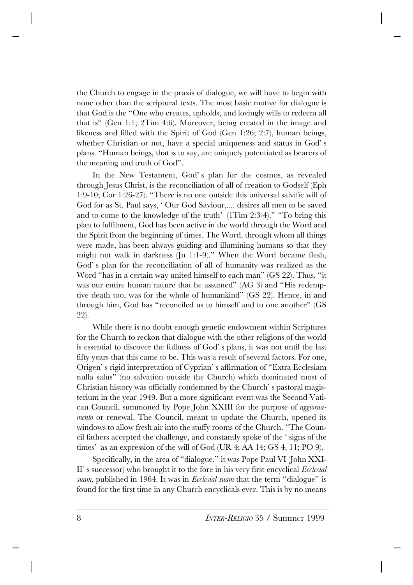the Church to engage in the praxis of dialogue, we will have to begin with none other than the scriptural texts. The most basic motive for dialogue is that God is the "One who creates, upholds, and lovingly wills to redeem all that is" (Gen 1:1; 2Tim 4:6). Moreover, being created in the image and likeness and filled with the Spirit of God (Gen 1:26; 2:7), human beings, whether Christian or not, have a special uniqueness and status in God's plans. "Human beings, that is to say, are uniquely potentiated as bearers of the meaning and truth of God".

In the New Testament, God's plan for the cosmos, as revealed through Jesus Christ, is the reconciliation of all of creation to Godself (Eph 1:9-10; Cor 1:26-27). "There is no one outside this universal salvific will of God for as St. Paul says, 'Our God Saviour,.... desires all men to be saved and to come to the knowledge of the truth' (1Tim 2:3-4)." "To bring this plan to fulfilment, God has been active in the world through the Word and the Spirit from the beginning of times. The Word, through whom all things were made, has been always guiding and illumining humans so that they might not walk in darkness (Jn 1:1-9)." When the Word became flesh, God's plan for the reconciliation of all of humanity was realized as the Word "has in a certain way united himself to each man" (GS 22). Thus, "it was our entire human nature that he assumed" (AG 3) and "His redemptive death too, was for the whole of humankind" (GS 22). Hence, in and through him, God has "reconciled us to himself and to one another" (GS 22).

While there is no doubt enough genetic endowment within Scriptures for the Church to reckon that dialogue with the other religions of the world is essential to discover the fullness of God's plans, it was not until the last fifty years that this came to be. This was a result of several factors. For one, Origen's rigid interpretation of Cyprian's affirmation of "Extra Ecclesiam nulla salus" (no salvation outside the Church) which dominated most of Christian history was officially condemned by the Church's pastoral magisterium in the year 1949. But a more significant event was the Second Vatican Council, summoned by Pope John XXIII for the purpose of *aggiornamento* or renewal. The Council, meant to update the Church, opened its windows to allow fresh air into the stuffy rooms of the Church. "The Council fathers accepted the challenge, and constantly spoke of the 'signs of the times' as an expression of the will of God (UR 4; AA 14; GS 4, 11; PO 9).

Specifically, in the area of "dialogue," it was Pope Paul VI (John XXI-II's successor) who brought it to the fore in his very first encyclical *Ecclesial suam*, published in 1964. It was in *Ecclesial suam* that the term "dialogue" is found for the first time in any Church encyclicals ever. This is by no means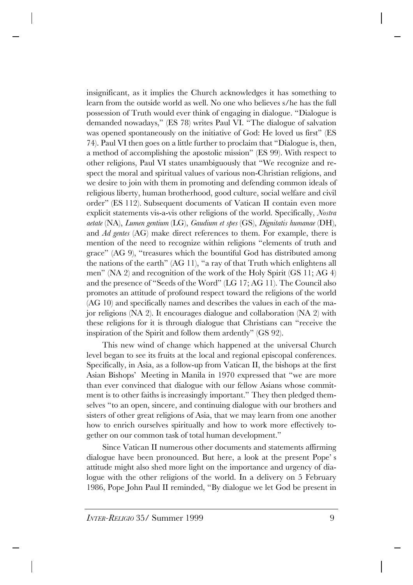insignificant, as it implies the Church acknowledges it has something to learn from the outside world as well. No one who believes s/he has the full possession of Truth would ever think of engaging in dialogue. "Dialogue is demanded nowadays," (ES 78) writes Paul VI. "The dialogue of salvation was opened spontaneously on the initiative of God: He loved us first" (ES 74). Paul VI then goes on a little further to proclaim that "Dialogue is, then, a method of accomplishing the apostolic mission" (ES 99). With respect to other religions, Paul VI states unambiguously that "We recognize and respect the moral and spiritual values of various non-Christian religions, and we desire to join with them in promoting and defending common ideals of religious liberty, human brotherhood, good culture, social welfare and civil order" (ES 112). Subsequent documents of Vatican II contain even more explicit statements vis-a-vis other religions of the world. Specifically, *Nostra aetate* (NA), *Lumen gentium* (LG), *Gaudium et spes* (GS), *Dignitatis humanae* (DH), and *Ad gentes* (AG) make direct references to them. For example, there is mention of the need to recognize within religions "elements of truth and grace" (AG 9), "treasures which the bountiful God has distributed among the nations of the earth" (AG 11), "a ray of that Truth which enlightens all men" (NA 2) and recognition of the work of the Holy Spirit (GS 11; AG 4) and the presence of "Seeds of the Word" (LG 17; AG 11). The Council also promotes an attitude of profound respect toward the religions of the world (AG 10) and specifically names and describes the values in each of the major religions (NA 2). It encourages dialogue and collaboration (NA 2) with these religions for it is through dialogue that Christians can "receive the inspiration of the Spirit and follow them ardently" (GS 92).

This new wind of change which happened at the universal Church level began to see its fruits at the local and regional episcopal conferences. Specifically, in Asia, as a follow-up from Vatican II, the bishops at the first Asian Bishops' Meeting in Manila in 1970 expressed that "we are more than ever convinced that dialogue with our fellow Asians whose commitment is to other faiths is increasingly important." They then pledged themselves "to an open, sincere, and continuing dialogue with our brothers and sisters of other great religions of Asia, that we may learn from one another how to enrich ourselves spiritually and how to work more effectively together on our common task of total human development."

Since Vatican II numerous other documents and statements affirming dialogue have been pronounced. But here, a look at the present Pope's attitude might also shed more light on the importance and urgency of dialogue with the other religions of the world. In a delivery on 5 February 1986, Pope John Paul II reminded, "By dialogue we let God be present in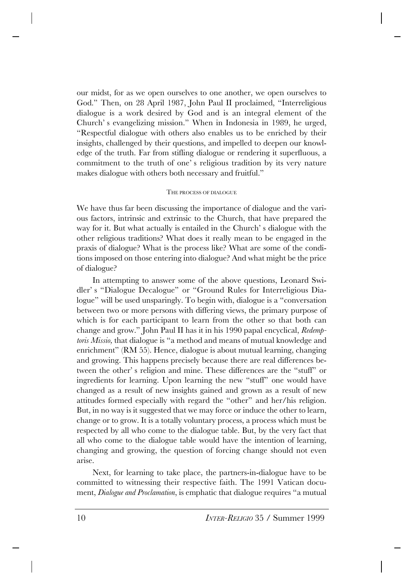our midst, for as we open ourselves to one another, we open ourselves to God." Then, on 28 April 1987, John Paul II proclaimed, "Interreligious dialogue is a work desired by God and is an integral element of the Church's evangelizing mission." When in Indonesia in 1989, he urged, "Respectful dialogue with others also enables us to be enriched by their insights, challenged by their questions, and impelled to deepen our knowledge of the truth. Far from stifling dialogue or rendering it superfluous, a commitment to the truth of one's religious tradition by its very nature makes dialogue with others both necessary and fruitful."

#### THE PROCESS OF DIALOGUE

We have thus far been discussing the importance of dialogue and the various factors, intrinsic and extrinsic to the Church, that have prepared the way for it. But what actually is entailed in the Church's dialogue with the other religious traditions? What does it really mean to be engaged in the praxis of dialogue? What is the process like? What are some of the conditions imposed on those entering into dialogue? And what might be the price of dialogue?

In attempting to answer some of the above questions, Leonard Swidler's "Dialogue Decalogue" or "Ground Rules for Interreligious Dialogue" will be used unsparingly. To begin with, dialogue is a "conversation between two or more persons with differing views, the primary purpose of which is for each participant to learn from the other so that both can change and grow." John Paul II has it in his 1990 papal encyclical, *Redemptoris Missio,* that dialogue is "a method and means of mutual knowledge and enrichment" (RM 55). Hence, dialogue is about mutual learning, changing and growing. This happens precisely because there are real differences between the other's religion and mine. These differences are the "stuff" or ingredients for learning. Upon learning the new "stuff" one would have changed as a result of new insights gained and grown as a result of new attitudes formed especially with regard the "other" and her/his religion. But, in no way is it suggested that we may force or induce the other to learn, change or to grow. It is a totally voluntary process, a process which must be respected by all who come to the dialogue table. But, by the very fact that all who come to the dialogue table would have the intention of learning, changing and growing, the question of forcing change should not even arise.

Next, for learning to take place, the partners-in-dialogue have to be committed to witnessing their respective faith. The 1991 Vatican document, *Dialogue and Proclamation*, is emphatic that dialogue requires "a mutual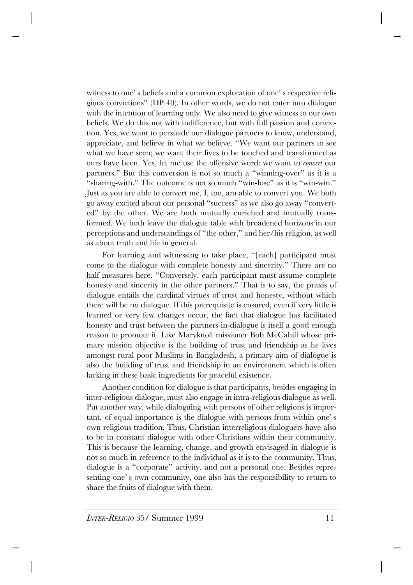witness to one's beliefs and a common exploration of one's respective religious convictions" (DP 40). In other words, we do not enter into dialogue with the intention of learning only. We also need to give witness to our own beliefs. We do this not with indifference, but with full passion and conviction. Yes, we want to persuade our dialogue partners to know, understand, appreciate, and believe in what we believe. "We want our partners to see what we have seen; we want their lives to be touched and transformed as ours have been. Yes, let me use the offensive word: we want to *convert* our partners." But this conversion is not so much a "winning-over" as it is a "sharing-with." The outcome is not so much "win-lose" as it is "win-win." Just as you are able to convert me, I, too, am able to convert you. We both go away excited about our personal "success" as we also go away "converted" by the other. We are both mutually enriched and mutually transformed. We both leave the dialogue table with broadened horizons in our perceptions and understandings of "the other," and her/his religion, as well as about truth and life in general.

For learning and witnessing to take place, "[each] participant must come to the dialogue with complete honesty and sincerity." There are no half measures here. "Conversely, each participant must assume complete honesty and sincerity in the other partners." That is to say, the praxis of dialogue entails the cardinal virtues of trust and honesty, without which there will be no dialogue. If this prerequisite is ensured, even if very little is learned or very few changes occur, the fact that dialogue has facilitated honesty and trust between the partners-in-dialogue is itself a good enough reason to promote it. Like Maryknoll missioner Bob McCahill whose primary mission objective is the building of trust and friendship as he lives amongst rural poor Muslims in Bangladesh, a primary aim of dialogue is also the building of trust and friendship in an environment which is often lacking in these basic ingredients for peaceful existence.

Another condition for dialogue is that participants, besides engaging in inter-religious dialogue, must also engage in intra-religious dialogue as well. Put another way, while dialoguing with persons of other religions is important, of equal importance is the dialogue with persons from within one's own religious tradition. Thus, Christian interreligious dialoguers have also to be in constant dialogue with other Christians within their community. This is because the learning, change, and growth envisaged in dialogue is not so much in reference to the individual as it is to the community. Thus, dialogue is a "corporate" activity, and not a personal one. Besides representing one's own community, one also has the responsibility to return to share the fruits of dialogue with them.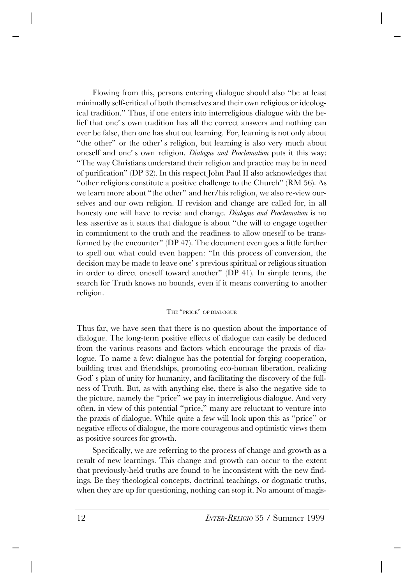Flowing from this, persons entering dialogue should also "be at least minimally self-critical of both themselves and their own religious or ideological tradition." Thus, if one enters into interreligious dialogue with the belief that one's own tradition has all the correct answers and nothing can ever be false, then one has shut out learning. For, learning is not only about "the other" or the other's religion, but learning is also very much about oneself and one's own religion. *Dialogue and Proclamation* puts it this way: "The way Christians understand their religion and practice may be in need of purification" (DP 32). In this respect John Paul II also acknowledges that "other religions constitute a positive challenge to the Church" (RM 56). As we learn more about "the other" and her/his religion, we also re-view ourselves and our own religion. If revision and change are called for, in all honesty one will have to revise and change. *Dialogue and Proclamation* is no less assertive as it states that dialogue is about "the will to engage together in commitment to the truth and the readiness to allow oneself to be transformed by the encounter" (DP 47). The document even goes a little further to spell out what could even happen: "In this process of conversion, the decision may be made to leave one's previous spiritual or religious situation in order to direct oneself toward another" (DP 41). In simple terms, the search for Truth knows no bounds, even if it means converting to another religion.

### THE "PRICE" OF DIALOGUE

Thus far, we have seen that there is no question about the importance of dialogue. The long-term positive effects of dialogue can easily be deduced from the various reasons and factors which encourage the praxis of dialogue. To name a few: dialogue has the potential for forging cooperation, building trust and friendships, promoting eco-human liberation, realizing God's plan of unity for humanity, and facilitating the discovery of the fullness of Truth. But, as with anything else, there is also the negative side to the picture, namely the "price" we pay in interreligious dialogue. And very often, in view of this potential "price," many are reluctant to venture into the praxis of dialogue. While quite a few will look upon this as "price" or negative effects of dialogue, the more courageous and optimistic views them as positive sources for growth.

Specifically, we are referring to the process of change and growth as a result of new learnings. This change and growth can occur to the extent that previously-held truths are found to be inconsistent with the new findings. Be they theological concepts, doctrinal teachings, or dogmatic truths, when they are up for questioning, nothing can stop it. No amount of magis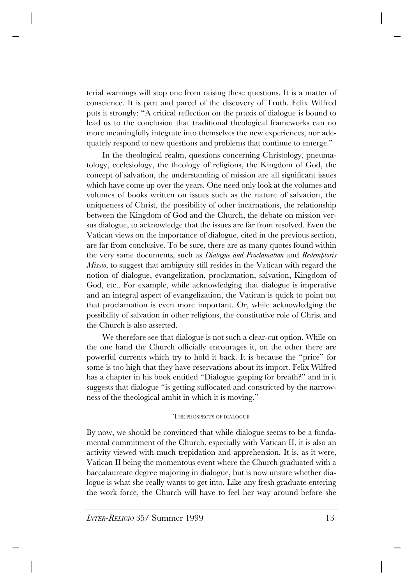terial warnings will stop one from raising these questions. It is a matter of conscience. It is part and parcel of the discovery of Truth. Felix Wilfred puts it strongly: "A critical reflection on the praxis of dialogue is bound to lead us to the conclusion that traditional theological frameworks can no more meaningfully integrate into themselves the new experiences, nor adequately respond to new questions and problems that continue to emerge."

In the theological realm, questions concerning Christology, pneumatology, ecclesiology, the theology of religions, the Kingdom of God, the concept of salvation, the understanding of mission are all significant issues which have come up over the years. One need only look at the volumes and volumes of books written on issues such as the nature of salvation, the uniqueness of Christ, the possibility of other incarnations, the relationship between the Kingdom of God and the Church, the debate on mission versus dialogue, to acknowledge that the issues are far from resolved. Even the Vatican views on the importance of dialogue, cited in the previous section, are far from conclusive. To be sure, there are as many quotes found within the very same documents, such as *Dialogue and Proclamation* and *Redemptoris Missio,* to suggest that ambiguity still resides in the Vatican with regard the notion of dialogue, evangelization, proclamation, salvation, Kingdom of God, etc.. For example, while acknowledging that dialogue is imperative and an integral aspect of evangelization, the Vatican is quick to point out that proclamation is even more important. Or, while acknowledging the possibility of salvation in other religions, the constitutive role of Christ and the Church is also asserted.

We therefore see that dialogue is not such a clear-cut option. While on the one hand the Church officially encourages it, on the other there are powerful currents which try to hold it back. It is because the "price" for some is too high that they have reservations about its import. Felix Wilfred has a chapter in his book entitled "Dialogue gasping for breath?" and in it suggests that dialogue "is getting suffocated and constricted by the narrowness of the theological ambit in which it is moving."

## THE PROSPECTS OF DIALOGUE

By now, we should be convinced that while dialogue seems to be a fundamental commitment of the Church, especially with Vatican II, it is also an activity viewed with much trepidation and apprehension. It is, as it were, Vatican II being the momentous event where the Church graduated with a baccalaureate degree majoring in dialogue, but is now unsure whether dialogue is what she really wants to get into. Like any fresh graduate entering the work force, the Church will have to feel her way around before she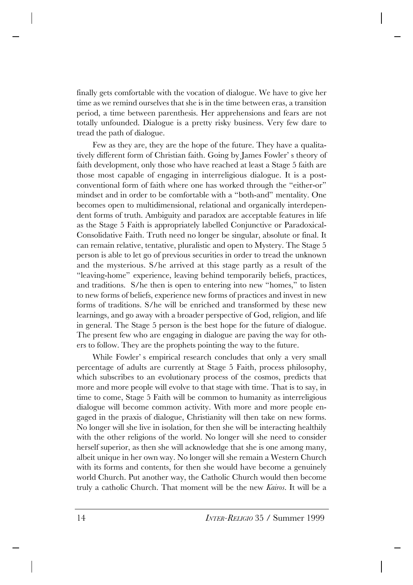finally gets comfortable with the vocation of dialogue. We have to give her time as we remind ourselves that she is in the time between eras, a transition period, a time between parenthesis. Her apprehensions and fears are not totally unfounded. Dialogue is a pretty risky business. Very few dare to tread the path of dialogue.

Few as they are, they are the hope of the future. They have a qualitatively different form of Christian faith. Going by James Fowler's theory of faith development, only those who have reached at least a Stage 5 faith are those most capable of engaging in interreligious dialogue. It is a postconventional form of faith where one has worked through the "either-or" mindset and in order to be comfortable with a "both-and" mentality. One becomes open to multidimensional, relational and organically interdependent forms of truth. Ambiguity and paradox are acceptable features in life as the Stage 5 Faith is appropriately labelled Conjunctive or Paradoxical-Consolidative Faith. Truth need no longer be singular, absolute or final. It can remain relative, tentative, pluralistic and open to Mystery. The Stage 5 person is able to let go of previous securities in order to tread the unknown and the mysterious. S/he arrived at this stage partly as a result of the "leaving-home" experience, leaving behind temporarily beliefs, practices, and traditions. S/he then is open to entering into new "homes," to listen to new forms of beliefs, experience new forms of practices and invest in new forms of traditions. S/he will be enriched and transformed by these new learnings, and go away with a broader perspective of God, religion, and life in general. The Stage 5 person is the best hope for the future of dialogue. The present few who are engaging in dialogue are paving the way for others to follow. They are the prophets pointing the way to the future.

While Fowler's empirical research concludes that only a very small percentage of adults are currently at Stage 5 Faith, process philosophy, which subscribes to an evolutionary process of the cosmos, predicts that more and more people will evolve to that stage with time. That is to say, in time to come, Stage 5 Faith will be common to humanity as interreligious dialogue will become common activity. With more and more people engaged in the praxis of dialogue, Christianity will then take on new forms. No longer will she live in isolation, for then she will be interacting healthily with the other religions of the world. No longer will she need to consider herself superior, as then she will acknowledge that she is one among many, albeit unique in her own way. No longer will she remain a Western Church with its forms and contents, for then she would have become a genuinely world Church. Put another way, the Catholic Church would then become truly a catholic Church. That moment will be the new *Kairos*. It will be a